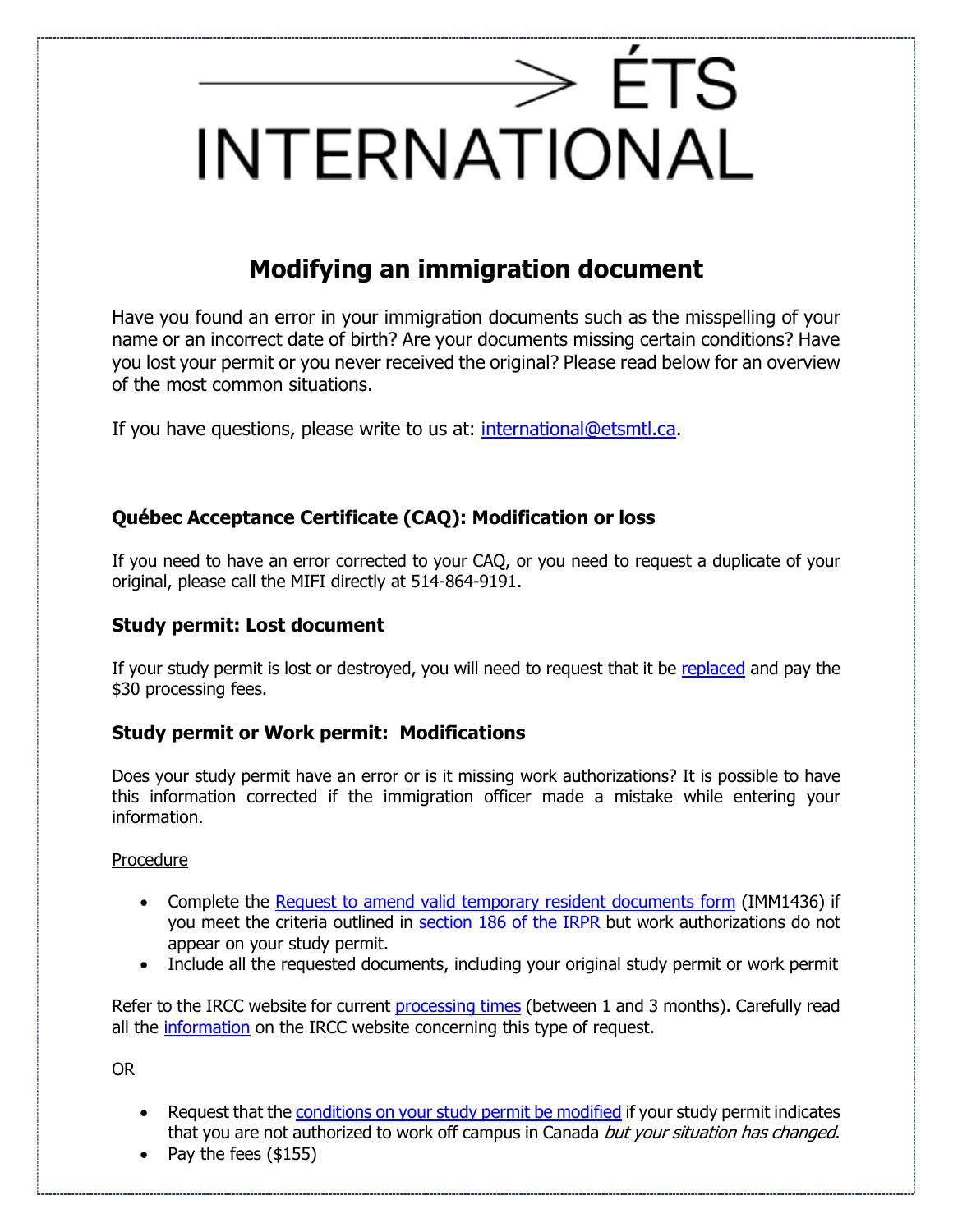# $\rm >$  ÉTS INTERNATIONAL

# **Modifying an immigration document**

Have you found an error in your immigration documents such as the misspelling of your name or an incorrect date of birth? Are your documents missing certain conditions? Have you lost your permit or you never received the original? Please read below for an overview of the most common situations.

If you have questions, please write to us at: [international@etsmtl.ca.](mailto:international@etsmtl.ca)

## **Québec Acceptance Certificate (CAQ): Modification or loss**

If you need to have an error corrected to your CAQ, or you need to request a duplicate of your original, please call the MIFI directly at 514-864-9191.

### **Study permit: Lost document**

If your study permit is lost or destroyed, you will need to request that it be [replaced](https://www.cic.gc.ca/english/helpcentre/results-by-topic.asp?top=12) and pay the \$30 processing fees.

### **Study permit or Work permit: Modifications**

Does your study permit have an error or is it missing work authorizations? It is possible to have this information corrected if the immigration officer made a mistake while entering your information.

#### Procedure

- Complete the [Request to amend valid temporary resident documents form](https://www.canada.ca/content/dam/ircc/migration/ircc/english/pdf/kits/forms/imm1436e.pdf) (IMM1436) if you meet the criteria outlined in section [186 of the IRPR](https://laws-lois.justice.gc.ca/eng/regulations/SOR-2002-227/section-186.html) but work authorizations do not appear on your study permit.
- Include all the requested documents, including your original study permit or work permit

Refer to the IRCC website for current [processing times](https://www.canada.ca/en/immigration-refugees-citizenship/services/application/check-processing-times.html) (between 1 and 3 months). Carefully read all the [information](https://www.canada.ca/en/immigration-refugees-citizenship/services/application/application-forms-guides/guide-5218-request-amend-record-landing-confirmation-permanent-residence-valid-temporary-resident-documents.html) on the IRCC website concerning this type of request.

OR

- Request that the [conditions on your study permit be modified](https://www.canada.ca/en/immigration-refugees-citizenship/services/application/application-forms-guides/guide-5552-applying-change-conditions-extend-your-stay-canada-student.html) if your study permit indicates that you are not authorized to work off campus in Canada but your situation has changed.
- Pay the fees (\$155)